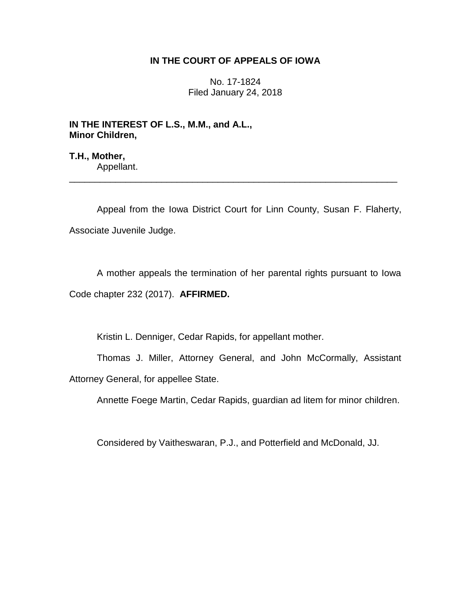## **IN THE COURT OF APPEALS OF IOWA**

No. 17-1824 Filed January 24, 2018

**IN THE INTEREST OF L.S., M.M., and A.L., Minor Children,**

**T.H., Mother,** Appellant.

Appeal from the Iowa District Court for Linn County, Susan F. Flaherty, Associate Juvenile Judge.

\_\_\_\_\_\_\_\_\_\_\_\_\_\_\_\_\_\_\_\_\_\_\_\_\_\_\_\_\_\_\_\_\_\_\_\_\_\_\_\_\_\_\_\_\_\_\_\_\_\_\_\_\_\_\_\_\_\_\_\_\_\_\_\_

A mother appeals the termination of her parental rights pursuant to Iowa Code chapter 232 (2017). **AFFIRMED.**

Kristin L. Denniger, Cedar Rapids, for appellant mother.

Thomas J. Miller, Attorney General, and John McCormally, Assistant Attorney General, for appellee State.

Annette Foege Martin, Cedar Rapids, guardian ad litem for minor children.

Considered by Vaitheswaran, P.J., and Potterfield and McDonald, JJ.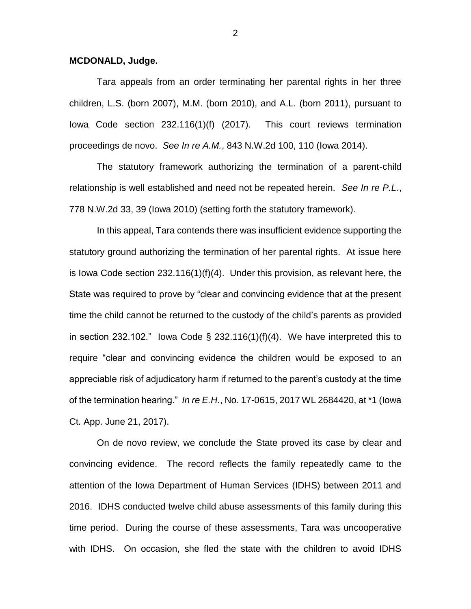## **MCDONALD, Judge.**

Tara appeals from an order terminating her parental rights in her three children, L.S. (born 2007), M.M. (born 2010), and A.L. (born 2011), pursuant to Iowa Code section 232.116(1)(f) (2017). This court reviews termination proceedings de novo. *See In re A.M.*, 843 N.W.2d 100, 110 (Iowa 2014).

The statutory framework authorizing the termination of a parent-child relationship is well established and need not be repeated herein. *See In re P.L.*, 778 N.W.2d 33, 39 (Iowa 2010) (setting forth the statutory framework).

In this appeal, Tara contends there was insufficient evidence supporting the statutory ground authorizing the termination of her parental rights. At issue here is Iowa Code section 232.116(1)(f)(4). Under this provision, as relevant here, the State was required to prove by "clear and convincing evidence that at the present time the child cannot be returned to the custody of the child's parents as provided in section 232.102." Iowa Code § 232.116(1)(f)(4). We have interpreted this to require "clear and convincing evidence the children would be exposed to an appreciable risk of adjudicatory harm if returned to the parent's custody at the time of the termination hearing." *In re E.H.*, No. 17-0615, 2017 WL 2684420, at \*1 (Iowa Ct. App. June 21, 2017).

On de novo review, we conclude the State proved its case by clear and convincing evidence. The record reflects the family repeatedly came to the attention of the Iowa Department of Human Services (IDHS) between 2011 and 2016. IDHS conducted twelve child abuse assessments of this family during this time period. During the course of these assessments, Tara was uncooperative with IDHS. On occasion, she fled the state with the children to avoid IDHS

2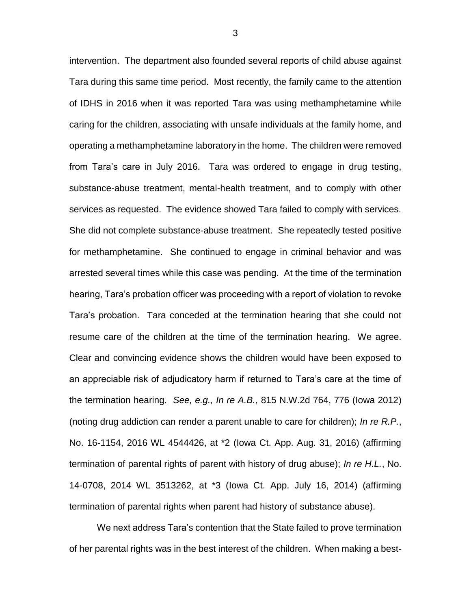intervention. The department also founded several reports of child abuse against Tara during this same time period. Most recently, the family came to the attention of IDHS in 2016 when it was reported Tara was using methamphetamine while caring for the children, associating with unsafe individuals at the family home, and operating a methamphetamine laboratory in the home. The children were removed from Tara's care in July 2016. Tara was ordered to engage in drug testing, substance-abuse treatment, mental-health treatment, and to comply with other services as requested. The evidence showed Tara failed to comply with services. She did not complete substance-abuse treatment. She repeatedly tested positive for methamphetamine. She continued to engage in criminal behavior and was arrested several times while this case was pending. At the time of the termination hearing, Tara's probation officer was proceeding with a report of violation to revoke Tara's probation. Tara conceded at the termination hearing that she could not resume care of the children at the time of the termination hearing. We agree. Clear and convincing evidence shows the children would have been exposed to an appreciable risk of adjudicatory harm if returned to Tara's care at the time of the termination hearing. *See, e.g., In re A.B.*, 815 N.W.2d 764, 776 (Iowa 2012) (noting drug addiction can render a parent unable to care for children); *In re R.P.*, No. 16-1154, 2016 WL 4544426, at \*2 (Iowa Ct. App. Aug. 31, 2016) (affirming termination of parental rights of parent with history of drug abuse); *In re H.L.*, No. 14-0708, 2014 WL 3513262, at \*3 (Iowa Ct. App. July 16, 2014) (affirming termination of parental rights when parent had history of substance abuse).

We next address Tara's contention that the State failed to prove termination of her parental rights was in the best interest of the children. When making a best-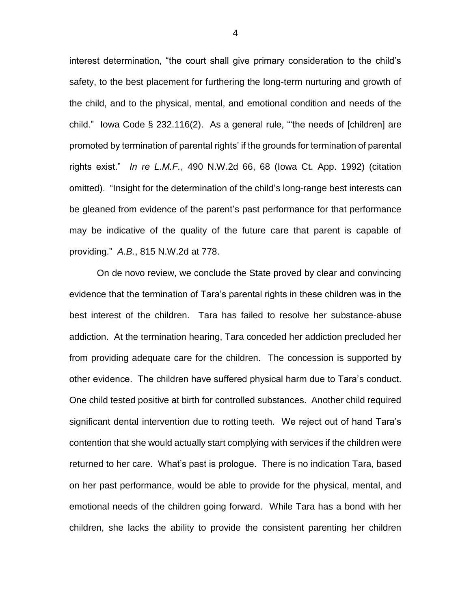interest determination, "the court shall give primary consideration to the child's safety, to the best placement for furthering the long-term nurturing and growth of the child, and to the physical, mental, and emotional condition and needs of the child." Iowa Code § 232.116(2). As a general rule, "'the needs of [children] are promoted by termination of parental rights' if the grounds for termination of parental rights exist." *In re L.M.F.*, 490 N.W.2d 66, 68 (Iowa Ct. App. 1992) (citation omitted). "Insight for the determination of the child's long-range best interests can be gleaned from evidence of the parent's past performance for that performance may be indicative of the quality of the future care that parent is capable of providing." *A.B.*, 815 N.W.2d at 778.

On de novo review, we conclude the State proved by clear and convincing evidence that the termination of Tara's parental rights in these children was in the best interest of the children. Tara has failed to resolve her substance-abuse addiction. At the termination hearing, Tara conceded her addiction precluded her from providing adequate care for the children. The concession is supported by other evidence. The children have suffered physical harm due to Tara's conduct. One child tested positive at birth for controlled substances. Another child required significant dental intervention due to rotting teeth. We reject out of hand Tara's contention that she would actually start complying with services if the children were returned to her care. What's past is prologue. There is no indication Tara, based on her past performance, would be able to provide for the physical, mental, and emotional needs of the children going forward. While Tara has a bond with her children, she lacks the ability to provide the consistent parenting her children

4